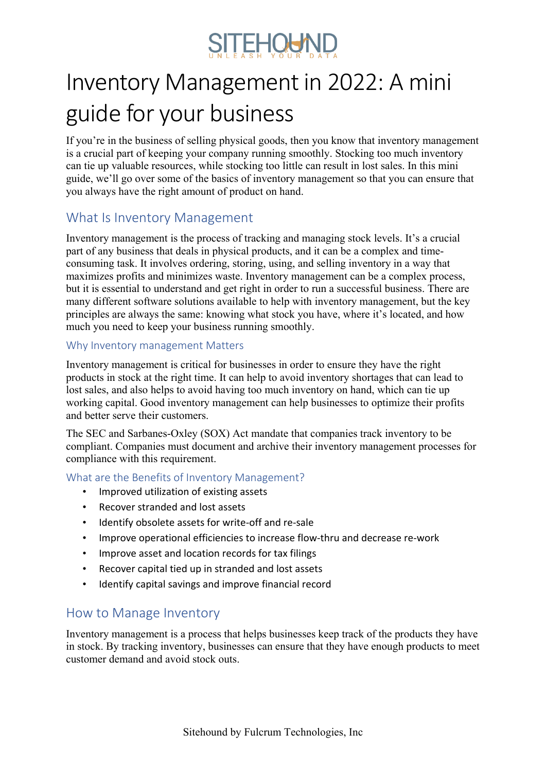

# Inventory Management in 2022: A mini guide for your business

If you're in the business of selling physical goods, then you know that inventory management is a crucial part of keeping your company running smoothly. Stocking too much inventory can tie up valuable resources, while stocking too little can result in lost sales. In this mini guide, we'll go over some of the basics of inventory management so that you can ensure that you always have the right amount of product on hand.

# What Is Inventory Management

Inventory management is the process of tracking and managing stock levels. It's a crucial part of any business that deals in physical products, and it can be a complex and timeconsuming task. It involves ordering, storing, using, and selling inventory in a way that maximizes profits and minimizes waste. Inventory management can be a complex process, but it is essential to understand and get right in order to run a successful business. There are many different software solutions available to help with inventory management, but the key principles are always the same: knowing what stock you have, where it's located, and how much you need to keep your business running smoothly.

#### Why Inventory management Matters

Inventory management is critical for businesses in order to ensure they have the right products in stock at the right time. It can help to avoid inventory shortages that can lead to lost sales, and also helps to avoid having too much inventory on hand, which can tie up working capital. Good inventory management can help businesses to optimize their profits and better serve their customers.

The SEC and Sarbanes-Oxley (SOX) Act mandate that companies track inventory to be compliant. Companies must document and archive their inventory management processes for compliance with this requirement.

What are the Benefits of Inventory Management?

- Improved utilization of existing assets
- Recover stranded and lost assets
- Identify obsolete assets for write-off and re-sale
- Improve operational efficiencies to increase flow-thru and decrease re-work
- Improve asset and location records for tax filings
- Recover capital tied up in stranded and lost assets
- Identify capital savings and improve financial record

## How to Manage Inventory

Inventory management is a process that helps businesses keep track of the products they have in stock. By tracking inventory, businesses can ensure that they have enough products to meet customer demand and avoid stock outs.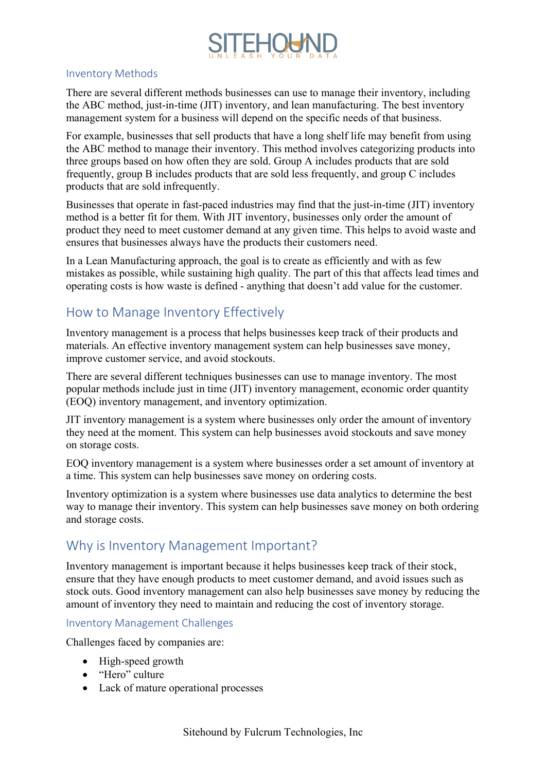

#### Inventory Methods

There are several different methods businesses can use to manage their inventory, including the ABC method, just-in-time (JIT) inventory, and lean manufacturing. The best inventory management system for a business will depend on the specific needs of that business.

For example, businesses that sell products that have a long shelf life may benefit from using the ABC method to manage their inventory. This method involves categorizing products into three groups based on how often they are sold. Group A includes products that are sold frequently, group B includes products that are sold less frequently, and group C includes products that are sold infrequently.

Businesses that operate in fast-paced industries may find that the just-in-time (JIT) inventory method is a better fit for them. With JIT inventory, businesses only order the amount of product they need to meet customer demand at any given time. This helps to avoid waste and ensures that businesses always have the products their customers need.

In a Lean Manufacturing approach, the goal is to create as efficiently and with as few mistakes as possible, while sustaining high quality. The part of this that affects lead times and operating costs is how waste is defined - anything that doesn't add value for the customer.

# How to Manage Inventory Effectively

Inventory management is a process that helps businesses keep track of their products and materials. An effective inventory management system can help businesses save money, improve customer service, and avoid stockouts.

There are several different techniques businesses can use to manage inventory. The most popular methods include just in time (JIT) inventory management, economic order quantity (EOQ) inventory management, and inventory optimization.

JIT inventory management is a system where businesses only order the amount of inventory they need at the moment. This system can help businesses avoid stockouts and save money on storage costs.

EOQ inventory management is a system where businesses order a set amount of inventory at a time. This system can help businesses save money on ordering costs.

Inventory optimization is a system where businesses use data analytics to determine the best way to manage their inventory. This system can help businesses save money on both ordering and storage costs.

## Why is Inventory Management Important?

Inventory management is important because it helps businesses keep track of their stock, ensure that they have enough products to meet customer demand, and avoid issues such as stock outs. Good inventory management can also help businesses save money by reducing the amount of inventory they need to maintain and reducing the cost of inventory storage.

#### Inventory Management Challenges

Challenges faced by companies are:

- High-speed growth
- "Hero" culture
- Lack of mature operational processes